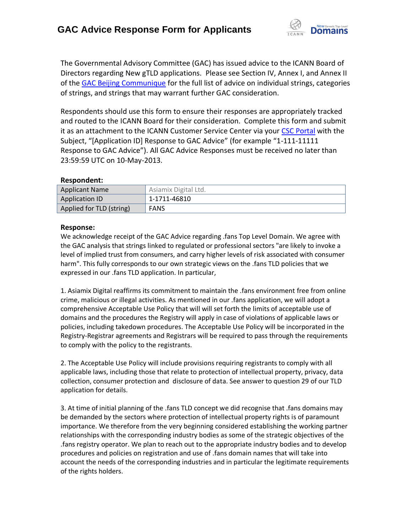

The Governmental Advisory Committee (GAC) has issued advice to the ICANN Board of Directors regarding New gTLD applications. Please see Section IV, Annex I, and Annex II of the [GAC Beijing Communique](http://www.icann.org/en/news/correspondence/gac-to-board-18apr13-en.pdf) for the full list of advice on individual strings, categories of strings, and strings that may warrant further GAC consideration.

Respondents should use this form to ensure their responses are appropriately tracked and routed to the ICANN Board for their consideration. Complete this form and submit it as an attachment to the ICANN Customer Service Center via your CSC [Portal](https://myicann.secure.force.com/) with the Subject, "[Application ID] Response to GAC Advice" (for example "1-111-11111 Response to GAC Advice"). All GAC Advice Responses must be received no later than 23:59:59 UTC on 10-May-2013.

## **Respondent:**

| <b>Applicant Name</b>    | Asiamix Digital Ltd. |
|--------------------------|----------------------|
| Application ID           | 1-1711-46810         |
| Applied for TLD (string) | <b>FANS</b>          |

## **Response:**

We acknowledge receipt of the GAC Advice regarding .fans Top Level Domain. We agree with the GAC analysis that strings linked to regulated or professional sectors "are likely to invoke a level of implied trust from consumers, and carry higher levels of risk associated with consumer harm". This fully corresponds to our own strategic views on the .fans TLD policies that we expressed in our .fans TLD application. In particular,

1. Asiamix Digital reaffirms its commitment to maintain the .fans environment free from online crime, malicious or illegal activities. As mentioned in our .fans application, we will adopt a comprehensive Acceptable Use Policy that will will set forth the limits of acceptable use of domains and the procedures the Registry will apply in case of violations of applicable laws or policies, including takedown procedures. The Acceptable Use Policy will be incorporated in the Registry-Registrar agreements and Registrars will be required to pass through the requirements to comply with the policy to the registrants.

2. The Acceptable Use Policy will include provisions requiring registrants to comply with all applicable laws, including those that relate to protection of intellectual property, privacy, data collection, consumer protection and disclosure of data. See answer to question 29 of our TLD application for details.

3. At time of initial planning of the .fans TLD concept we did recognise that .fans domains may be demanded by the sectors where protection of intellectual property rights is of paramount importance. We therefore from the very beginning considered establishing the working partner relationships with the corresponding industry bodies as some of the strategic objectives of the .fans registry operator. We plan to reach out to the appropriate industry bodies and to develop procedures and policies on registration and use of .fans domain names that will take into account the needs of the corresponding industries and in particular the legitimate requirements of the rights holders.